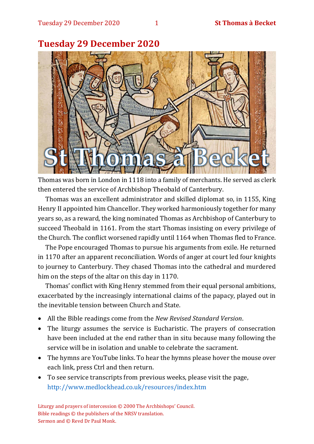

### **Tuesday 29 December 2020**

Thomas was born in London in 1118 into a family of merchants. He served as clerk then entered the service of Archbishop Theobald of Canterbury.

Thomas was an excellent administrator and skilled diplomat so, in 1155, King Henry II appointed him Chancellor. They worked harmoniously together for many years so, as a reward, the king nominated Thomas as Archbishop of Canterbury to succeed Theobald in 1161. From the start Thomas insisting on every privilege of the Church. The conflict worsened rapidly until 1164 when Thomas fled to France.

The Pope encouraged Thomas to pursue his arguments from exile. He returned in 1170 after an apparent reconciliation. Words of anger at court led four knights to journey to Canterbury. They chased Thomas into the cathedral and murdered him on the steps of the altar on this day in 1170.

Thomas' conflict with King Henry stemmed from their equal personal ambitions, exacerbated by the increasingly international claims of the papacy, played out in the inevitable tension between Church and State.

- All the Bible readings come from the *New Revised Standard Version*.
- The liturgy assumes the service is Eucharistic. The prayers of consecration have been included at the end rather than in situ because many following the service will be in isolation and unable to celebrate the sacrament.
- The hymns are YouTube links. To hear the hymns please hover the mouse over each link, press Ctrl and then return.
- To see service transcripts from previous weeks, please visit the page, <http://www.medlockhead.co.uk/resources/index.htm>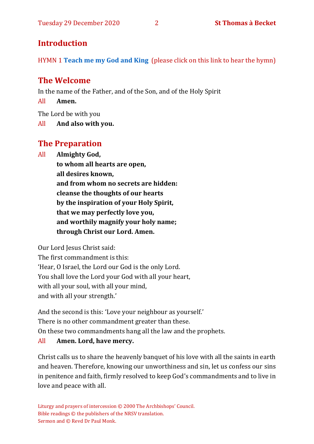### **Introduction**

HYMN 1 **[Teach me my God and King](https://www.youtube.com/watch?v=p1Rpax0eEqI)** (please click on this link to hear the hymn)

### **The Welcome**

In the name of the Father, and of the Son, and of the Holy Spirit

All **Amen.**

The Lord be with you

All **And also with you.**

### **The Preparation**

All **Almighty God,**

**to whom all hearts are open, all desires known, and from whom no secrets are hidden: cleanse the thoughts of our hearts by the inspiration of your Holy Spirit, that we may perfectly love you, and worthily magnify your holy name; through Christ our Lord. Amen.**

Our Lord Jesus Christ said:

The first commandment is this: 'Hear, O Israel, the Lord our God is the only Lord. You shall love the Lord your God with all your heart, with all your soul, with all your mind, and with all your strength.'

And the second is this: 'Love your neighbour as yourself.' There is no other commandment greater than these. On these two commandments hang all the law and the prophets.

#### All **Amen. Lord, have mercy.**

Christ calls us to share the heavenly banquet of his love with all the saints in earth and heaven. Therefore, knowing our unworthiness and sin, let us confess our sins in penitence and faith, firmly resolved to keep God's commandments and to live in love and peace with all.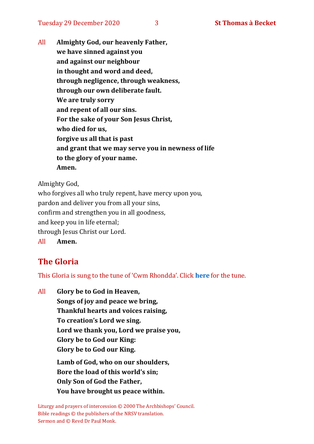All **Almighty God, our heavenly Father, we have sinned against you and against our neighbour in thought and word and deed, through negligence, through weakness, through our own deliberate fault. We are truly sorry and repent of all our sins. For the sake of your Son Jesus Christ, who died for us, forgive us all that is past and grant that we may serve you in newness of life to the glory of your name. Amen.**

Almighty God,

who forgives all who truly repent, have mercy upon you, pardon and deliver you from all your sins, confirm and strengthen you in all goodness, and keep you in life eternal; through Jesus Christ our Lord. All **Amen.**

### **The Gloria**

This Gloria is sung to the tune of 'Cwm Rhondda'. Click **[here](about:blank)** for the tune.

All **Glory be to God in Heaven, Songs of joy and peace we bring, Thankful hearts and voices raising, To creation's Lord we sing. Lord we thank you, Lord we praise you, Glory be to God our King: Glory be to God our King. Lamb of God, who on our shoulders, Bore the load of this world's sin; Only Son of God the Father, You have brought us peace within.**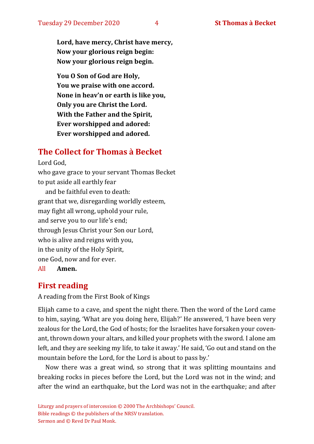**Lord, have mercy, Christ have mercy, Now your glorious reign begin: Now your glorious reign begin.**

**You O Son of God are Holy, You we praise with one accord. None in heav'n or earth is like you, Only you are Christ the Lord. With the Father and the Spirit, Ever worshipped and adored: Ever worshipped and adored.**

#### **The Collect for Thomas à Becket**

Lord God, who gave grace to your servant Thomas Becket to put aside all earthly fear and be faithful even to death: grant that we, disregarding worldly esteem, may fight all wrong, uphold your rule, and serve you to our life's end; through Jesus Christ your Son our Lord, who is alive and reigns with you, in the unity of the Holy Spirit, one God, now and for ever.

All **Amen.**

#### **First reading**

A reading from the First Book of Kings

Elijah came to a cave, and spent the night there. Then the word of the Lord came to him, saying, 'What are you doing here, Elijah?' He answered, 'I have been very zealous for the Lord, the God of hosts; for the Israelites have forsaken your covenant, thrown down your altars, and killed your prophets with the sword. I alone am left, and they are seeking my life, to take it away.' He said, 'Go out and stand on the mountain before the Lord, for the Lord is about to pass by.'

Now there was a great wind, so strong that it was splitting mountains and breaking rocks in pieces before the Lord, but the Lord was not in the wind; and after the wind an earthquake, but the Lord was not in the earthquake; and after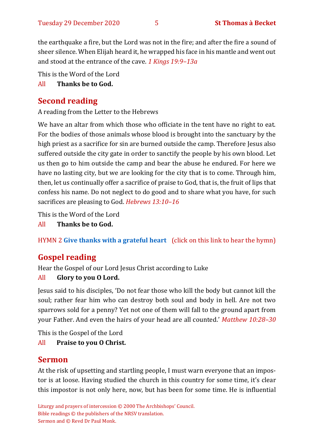the earthquake a fire, but the Lord was not in the fire; and after the fire a sound of sheer silence. When Elijah heard it, he wrapped his face in his mantle and went out and stood at the entrance of the cave. *1 Kings 19:9–13a*

This is the Word of the Lord

### All **Thanks be to God.**

### **Second reading**

A reading from the Letter to the Hebrews

We have an altar from which those who officiate in the tent have no right to eat. For the bodies of those animals whose blood is brought into the sanctuary by the high priest as a sacrifice for sin are burned outside the camp. Therefore Jesus also suffered outside the city gate in order to sanctify the people by his own blood. Let us then go to him outside the camp and bear the abuse he endured. For here we have no lasting city, but we are looking for the city that is to come. Through him, then, let us continually offer a sacrifice of praise to God, that is, the fruit of lips that confess his name. Do not neglect to do good and to share what you have, for such sacrifices are pleasing to God. *Hebrews 13:10–16* 

This is the Word of the Lord

All **Thanks be to God.**

HYMN 2 **[Give thanks with a grateful heart](https://www.youtube.com/watch?v=KMTmZKotTYw)** (click on this link to hear the hymn)

## **Gospel reading**

Hear the Gospel of our Lord Jesus Christ according to Luke

### All **Glory to you O Lord.**

Jesus said to his disciples, 'Do not fear those who kill the body but cannot kill the soul; rather fear him who can destroy both soul and body in hell. Are not two sparrows sold for a penny? Yet not one of them will fall to the ground apart from your Father. And even the hairs of your head are all counted.' *Matthew 10:28–30*

This is the Gospel of the Lord

All **Praise to you O Christ.** 

### **Sermon**

At the risk of upsetting and startling people, I must warn everyone that an impostor is at loose. Having studied the church in this country for some time, it's clear this impostor is not only here, now, but has been for some time. He is influential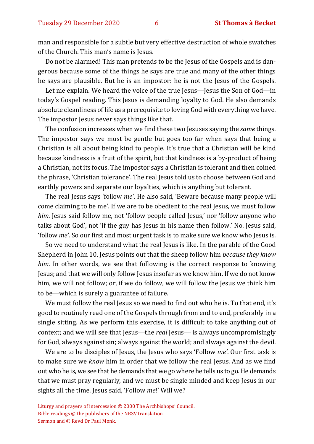man and responsible for a subtle but very effective destruction of whole swatches of the Church. This man's name is Jesus.

Do not be alarmed! This man pretends to be the Jesus of the Gospels and is dangerous because some of the things he says are true and many of the other things he says are plausible. But he is an impostor: he is not the Jesus of the Gospels.

Let me explain. We heard the voice of the true Jesus—Jesus the Son of God—in today's Gospel reading. This Jesus is demanding loyalty to God. He also demands absolute cleanliness of life as a prerequisite to loving God with everything we have. The impostor Jesus never says things like that.

The confusion increases when we find these two Jesuses saying the *same* things. The impostor says we must be gentle but goes too far when says that being a Christian is all about being kind to people. It's true that a Christian will be kind because kindness is a fruit of the spirit, but that kindness is a by-product of being a Christian, not its focus. The impostor says a Christian is tolerant and then coined the phrase, 'Christian tolerance'. The real Jesus told us to choose between God and earthly powers and separate our loyalties, which is anything but tolerant.

The real Jesus says 'follow *me'*. He also said, 'Beware because many people will come claiming to be me'. If we are to be obedient to the real Jesus, we must follow *him*. Jesus said follow me, not 'follow people called Jesus,' nor 'follow anyone who talks about God', not 'if the guy has Jesus in his name then follow.' No. Jesus said, 'follow *me'*. So our first and most urgent task is to make sure we know who Jesus is.

So we need to understand what the real Jesus is like. In the parable of the Good Shepherd in John 10, Jesus points out that the sheep follow him *because they know him.* In other words, we see that following is the correct response to knowing Jesus; and that we will only follow Jesus insofar as we know him. If we do not know him, we will not follow; or, if we do follow, we will follow the Jesus we think him to be—which is surely a guarantee of failure.

We must follow the real Jesus so we need to find out who he is. To that end, it's good to routinely read one of the Gospels through from end to end, preferably in a single sitting. As we perform this exercise, it is difficult to take anything out of context; and we will see that Jesus—the *real* Jesus—is always uncompromisingly for God, always against sin; always against the world; and always against the devil.

We are to be disciples of Jesus, the Jesus who says 'Follow *me'*. Our first task is to make sure we *know* him in order that we follow the real Jesus. And as we find out who he is, we see that he demands that we go where he tells us to go. He demands that we must pray regularly, and we must be single minded and keep Jesus in our sights all the time. Jesus said, 'Follow *me*!' Will we?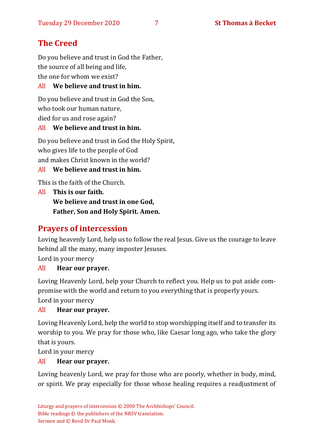### **The Creed**

Do you believe and trust in God the Father, the source of all being and life, the one for whom we exist?

#### All **We believe and trust in him.**

Do you believe and trust in God the Son, who took our human nature, died for us and rose again?

#### All **We believe and trust in him.**

Do you believe and trust in God the Holy Spirit, who gives life to the people of God and makes Christ known in the world?

#### All **We believe and trust in him.**

This is the faith of the Church.

All **This is our faith. We believe and trust in one God, Father, Son and Holy Spirit. Amen.**

#### **Prayers of intercession**

Loving heavenly Lord, help us to follow the real Jesus. Give us the courage to leave behind all the many, many imposter Jesuses.

Lord in your mercy

#### All **Hear our prayer.**

Loving Heavenly Lord, help your Church to reflect you. Help us to put aside compromise with the world and return to you everything that is properly yours. Lord in your mercy

#### All **Hear our prayer.**

Loving Heavenly Lord, help the world to stop worshipping itself and to transfer its worship to you. We pray for those who, like Caesar long ago, who take the glory that is yours.

Lord in your mercy

#### All **Hear our prayer.**

Loving heavenly Lord, we pray for those who are poorly, whether in body, mind, or spirit. We pray especially for those whose healing requires a readjustment of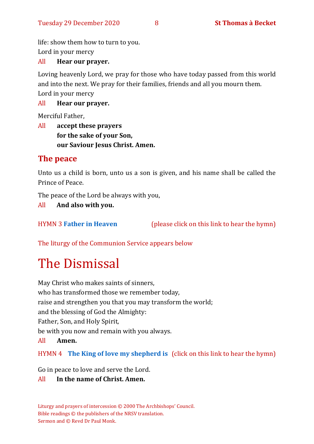life: show them how to turn to you.

Lord in your mercy

#### All **Hear our prayer.**

Loving heavenly Lord, we pray for those who have today passed from this world and into the next. We pray for their families, friends and all you mourn them. Lord in your mercy

All **Hear our prayer.**

Merciful Father,

All **accept these prayers for the sake of your Son, our Saviour Jesus Christ. Amen.**

### **The peace**

Unto us a child is born, unto us a son is given, and his name shall be called the Prince of Peace.

The peace of the Lord be always with you,

All **And also with you.**

HYMN 3 **[Father in Heaven](https://www.youtube.com/watch?v=BamB290iJU0)** (please click on this link to hear the hymn)

The liturgy of the Communion Service appears below

# The Dismissal

May Christ who makes saints of sinners, who has transformed those we remember today, raise and strengthen you that you may transform the world; and the blessing of God the Almighty: Father, Son, and Holy Spirit, be with you now and remain with you always. All **Amen.**

HYMN 4 **[The King of love my shepherd is](https://www.youtube.com/watch?v=b3GFVW6m9Qo)** (click on this link to hear the hymn)

Go in peace to love and serve the Lord.

#### All **In the name of Christ. Amen.**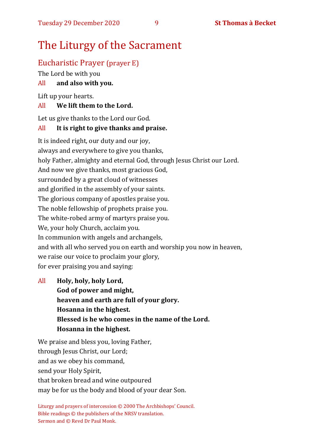# The Liturgy of the Sacrament

### Eucharistic Prayer (prayer E)

The Lord be with you

#### All **and also with you.**

Lift up your hearts.

#### All **We lift them to the Lord.**

Let us give thanks to the Lord our God.

#### All **It is right to give thanks and praise.**

It is indeed right, our duty and our joy, always and everywhere to give you thanks, holy Father, almighty and eternal God, through Jesus Christ our Lord. And now we give thanks, most gracious God, surrounded by a great cloud of witnesses and glorified in the assembly of your saints. The glorious company of apostles praise you. The noble fellowship of prophets praise you. The white-robed army of martyrs praise you. We, your holy Church, acclaim you. In communion with angels and archangels, and with all who served you on earth and worship you now in heaven, we raise our voice to proclaim your glory, for ever praising you and saying:

All **Holy, holy, holy Lord, God of power and might, heaven and earth are full of your glory. Hosanna in the highest. Blessed is he who comes in the name of the Lord. Hosanna in the highest.**

We praise and bless you, loving Father, through Jesus Christ, our Lord; and as we obey his command, send your Holy Spirit, that broken bread and wine outpoured may be for us the body and blood of your dear Son.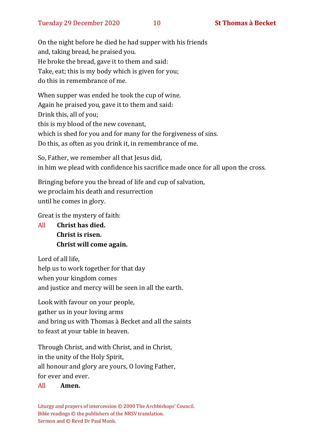On the night before he died he had supper with his friends and, taking bread, he praised you. He broke the bread, gave it to them and said: Take, eat; this is my body which is given for you; do this in remembrance of me.

When supper was ended he took the cup of wine. Again he praised you, gave it to them and said: Drink this, all of you; this is my blood of the new covenant, which is shed for you and for many for the forgiveness of sins. Do this, as often as you drink it, in remembrance of me.

So, Father, we remember all that Jesus did, in him we plead with confidence his sacrifice made once for all upon the cross.

Bringing before you the bread of life and cup of salvation, we proclaim his death and resurrection until he comes in glory.

Great is the mystery of faith:

All **Christ has died. Christ is risen. Christ will come again.**

Lord of all life, help us to work together for that day when your kingdom comes and justice and mercy will be seen in all the earth.

Look with favour on your people, gather us in your loving arms and bring us with Thomas à Becket and all the saints to feast at your table in heaven.

Through Christ, and with Christ, and in Christ, in the unity of the Holy Spirit, all honour and glory are yours, O loving Father, for ever and ever.

#### All **Amen.**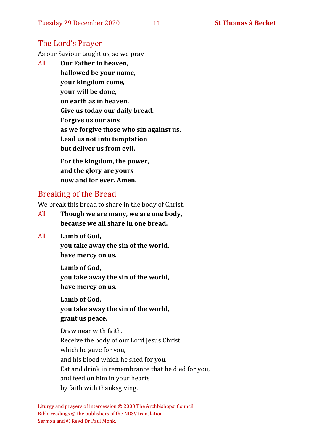### The Lord's Prayer

As our Saviour taught us, so we pray

All **Our Father in heaven, hallowed be your name, your kingdom come, your will be done, on earth as in heaven. Give us today our daily bread. Forgive us our sins as we forgive those who sin against us. Lead us not into temptation but deliver us from evil. For the kingdom, the power,** 

**and the glory are yours now and for ever. Amen.**

### Breaking of the Bread

We break this bread to share in the body of Christ.

- All **Though we are many, we are one body, because we all share in one bread.**
- All **Lamb of God,**

**you take away the sin of the world, have mercy on us.**

**Lamb of God, you take away the sin of the world, have mercy on us.**

**Lamb of God, you take away the sin of the world, grant us peace.**

Draw near with faith. Receive the body of our Lord Jesus Christ which he gave for you, and his blood which he shed for you. Eat and drink in remembrance that he died for you, and feed on him in your hearts by faith with thanksgiving.